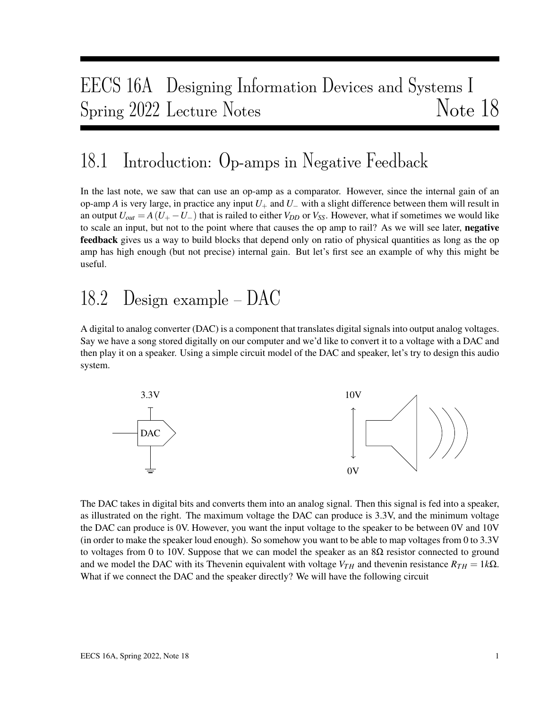# EECS 16A Designing Information Devices and Systems I Spring 2022 Lecture Notes Note 18

#### 18.1 Introduction: Op-amps in Negative Feedback

In the last note, we saw that can use an op-amp as a comparator. However, since the internal gain of an op-amp *A* is very large, in practice any input  $U_+$  and  $U_-$  with a slight difference between them will result in an output  $U_{out} = A(U_{+} - U_{-})$  that is railed to either  $V_{DD}$  or  $V_{SS}$ . However, what if sometimes we would like to scale an input, but not to the point where that causes the op amp to rail? As we will see later, negative **feedback** gives us a way to build blocks that depend only on ratio of physical quantities as long as the op amp has high enough (but not precise) internal gain. But let's first see an example of why this might be useful.

## 18.2 Design example – DAC

A digital to analog converter (DAC) is a component that translates digital signals into output analog voltages. Say we have a song stored digitally on our computer and we'd like to convert it to a voltage with a DAC and then play it on a speaker. Using a simple circuit model of the DAC and speaker, let's try to design this audio system.



The DAC takes in digital bits and converts them into an analog signal. Then this signal is fed into a speaker, as illustrated on the right. The maximum voltage the DAC can produce is 3.3V, and the minimum voltage the DAC can produce is 0V. However, you want the input voltage to the speaker to be between 0V and 10V (in order to make the speaker loud enough). So somehow you want to be able to map voltages from 0 to 3.3V to voltages from 0 to 10V. Suppose that we can model the speaker as an  $8\Omega$  resistor connected to ground and we model the DAC with its Thevenin equivalent with voltage  $V_{TH}$  and thevenin resistance  $R_{TH} = 1k\Omega$ . What if we connect the DAC and the speaker directly? We will have the following circuit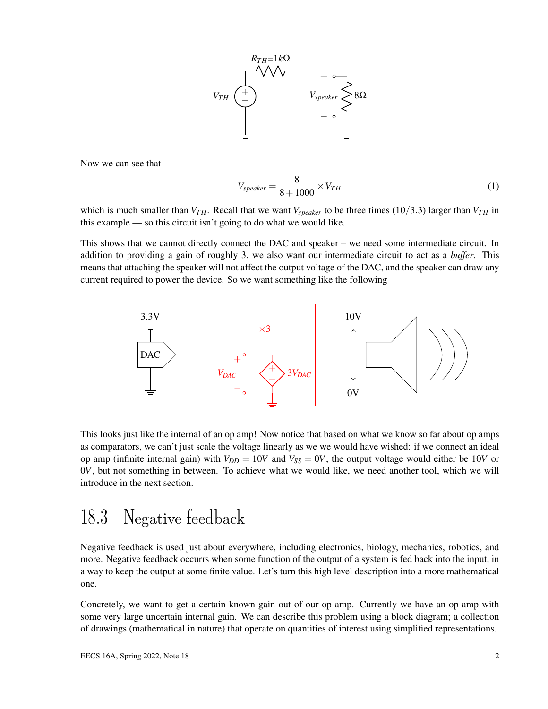

Now we can see that

$$
V_{speaker} = \frac{8}{8 + 1000} \times V_{TH}
$$
 (1)

which is much smaller than  $V_{TH}$ . Recall that we want  $V_{speaker}$  to be three times (10/3.3) larger than  $V_{TH}$  in this example — so this circuit isn't going to do what we would like.

This shows that we cannot directly connect the DAC and speaker – we need some intermediate circuit. In addition to providing a gain of roughly 3, we also want our intermediate circuit to act as a *buffer*. This means that attaching the speaker will not affect the output voltage of the DAC, and the speaker can draw any current required to power the device. So we want something like the following



This looks just like the internal of an op amp! Now notice that based on what we know so far about op amps as comparators, we can't just scale the voltage linearly as we we would have wished: if we connect an ideal op amp (infinite internal gain) with  $V_{DD} = 10V$  and  $V_{SS} = 0V$ , the output voltage would either be 10*V* or 0*V*, but not something in between. To achieve what we would like, we need another tool, which we will introduce in the next section.

#### 18.3 Negative feedback

Negative feedback is used just about everywhere, including electronics, biology, mechanics, robotics, and more. Negative feedback occurrs when some function of the output of a system is fed back into the input, in a way to keep the output at some finite value. Let's turn this high level description into a more mathematical one.

Concretely, we want to get a certain known gain out of our op amp. Currently we have an op-amp with some very large uncertain internal gain. We can describe this problem using a block diagram; a collection of drawings (mathematical in nature) that operate on quantities of interest using simplified representations.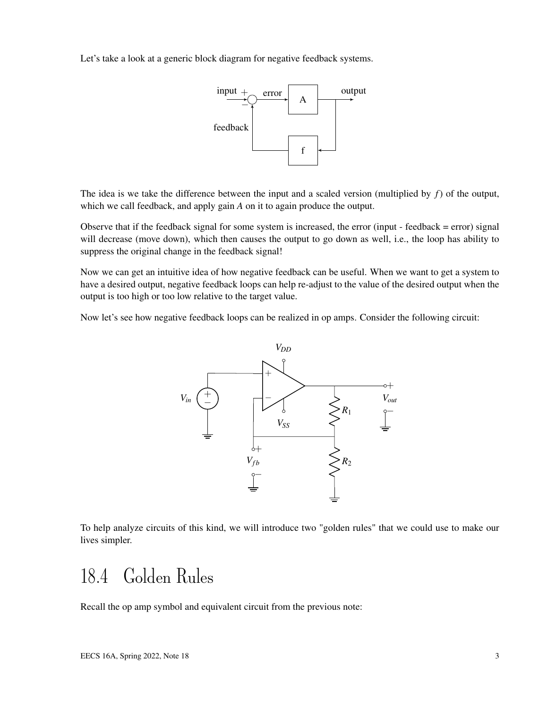Let's take a look at a generic block diagram for negative feedback systems.



The idea is we take the difference between the input and a scaled version (multiplied by *f*) of the output, which we call feedback, and apply gain *A* on it to again produce the output.

Observe that if the feedback signal for some system is increased, the error (input - feedback = error) signal will decrease (move down), which then causes the output to go down as well, i.e., the loop has ability to suppress the original change in the feedback signal!

Now we can get an intuitive idea of how negative feedback can be useful. When we want to get a system to have a desired output, negative feedback loops can help re-adjust to the value of the desired output when the output is too high or too low relative to the target value.

Now let's see how negative feedback loops can be realized in op amps. Consider the following circuit:



To help analyze circuits of this kind, we will introduce two "golden rules" that we could use to make our lives simpler.

### 18.4 Golden Rules

Recall the op amp symbol and equivalent circuit from the previous note: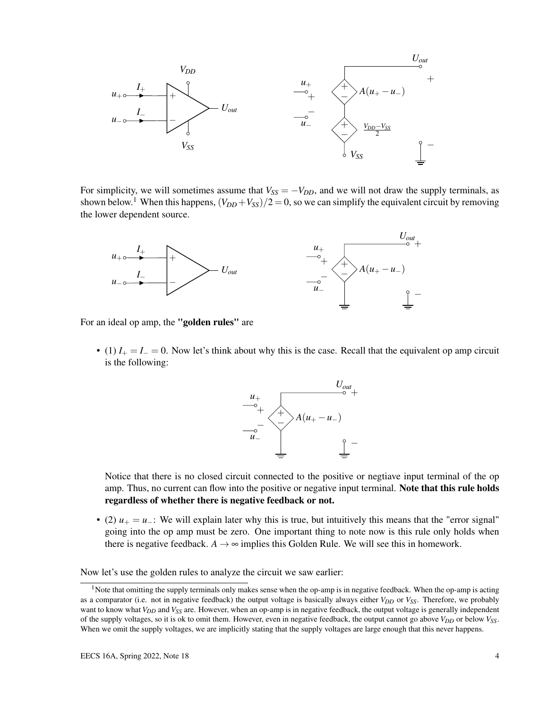

For simplicity, we will sometimes assume that  $V_{SS} = -V_{DD}$ , and we will not draw the supply terminals, as shown below.<sup>1</sup> When this happens,  $(V_{DD}+V_{SS})/2=0$ , so we can simplify the equivalent circuit by removing the lower dependent source.



For an ideal op amp, the "golden rules" are

• (1)  $I_+ = I_- = 0$ . Now let's think about why this is the case. Recall that the equivalent op amp circuit is the following:



Notice that there is no closed circuit connected to the positive or negtiave input terminal of the op amp. Thus, no current can flow into the positive or negative input terminal. Note that this rule holds regardless of whether there is negative feedback or not.

• (2)  $u_+ = u_-$ : We will explain later why this is true, but intuitively this means that the "error signal" going into the op amp must be zero. One important thing to note now is this rule only holds when there is negative feedback.  $A \rightarrow \infty$  implies this Golden Rule. We will see this in homework.

Now let's use the golden rules to analyze the circuit we saw earlier:

<sup>&</sup>lt;sup>1</sup>Note that omitting the supply terminals only makes sense when the op-amp is in negative feedback. When the op-amp is acting as a comparator (i.e. not in negative feedback) the output voltage is basically always either *VDD* or *VSS*. Therefore, we probably want to know what *VDD* and *VSS* are. However, when an op-amp is in negative feedback, the output voltage is generally independent of the supply voltages, so it is ok to omit them. However, even in negative feedback, the output cannot go above *VDD* or below *VSS*. When we omit the supply voltages, we are implicitly stating that the supply voltages are large enough that this never happens.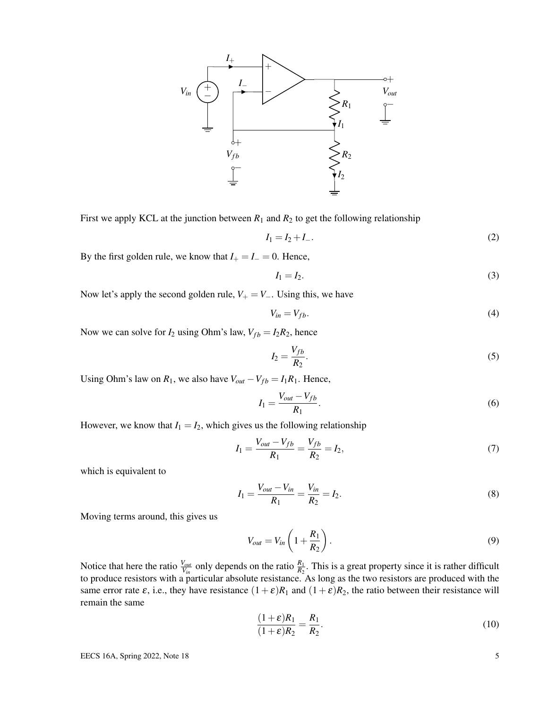

First we apply KCL at the junction between  $R_1$  and  $R_2$  to get the following relationship

$$
I_1 = I_2 + I_-\tag{2}
$$

By the first golden rule, we know that  $I_+ = I_- = 0$ . Hence,

$$
I_1 = I_2. \tag{3}
$$

Now let's apply the second golden rule,  $V_+ = V_-\$ . Using this, we have

$$
V_{in} = V_{fb}.\tag{4}
$$

Now we can solve for  $I_2$  using Ohm's law,  $V_{fb} = I_2 R_2$ , hence

$$
I_2 = \frac{V_{fb}}{R_2}.\tag{5}
$$

Using Ohm's law on  $R_1$ , we also have  $V_{out} - V_{fb} = I_1 R_1$ . Hence,

$$
I_1 = \frac{V_{out} - V_{fb}}{R_1}.\tag{6}
$$

However, we know that  $I_1 = I_2$ , which gives us the following relationship

$$
I_1 = \frac{V_{out} - V_{fb}}{R_1} = \frac{V_{fb}}{R_2} = I_2,\tag{7}
$$

which is equivalent to

$$
I_1 = \frac{V_{out} - V_{in}}{R_1} = \frac{V_{in}}{R_2} = I_2.
$$
\n(8)

Moving terms around, this gives us

$$
V_{out} = V_{in} \left( 1 + \frac{R_1}{R_2} \right). \tag{9}
$$

Notice that here the ratio  $\frac{V_{out}}{V_{in}}$  only depends on the ratio  $\frac{R_1}{R_2}$ . This is a great property since it is rather difficult to produce resistors with a particular absolute resistance. As long as the two resistors are produced with the same error rate  $\varepsilon$ , i.e., they have resistance  $(1+\varepsilon)R_1$  and  $(1+\varepsilon)R_2$ , the ratio between their resistance will remain the same

$$
\frac{(1+\varepsilon)R_1}{(1+\varepsilon)R_2} = \frac{R_1}{R_2}.\tag{10}
$$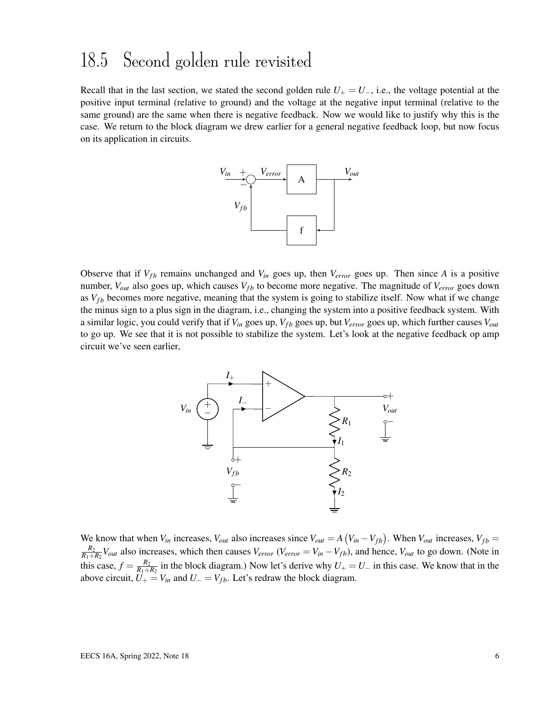#### 18.5 Second golden rule revisited

Recall that in the last section, we stated the second golden rule  $U_+ = U_-$ , i.e., the voltage potential at the positive input terminal (relative to ground) and the voltage at the negative input terminal (relative to the same ground) are the same when there is negative feedback. Now we would like to justify why this is the case. We return to the block diagram we drew earlier for a general negative feedback loop, but now focus on its application in circuits.



Observe that if  $V_{fb}$  remains unchanged and  $V_{in}$  goes up, then  $V_{error}$  goes up. Then since *A* is a positive number,  $V_{out}$  also goes up, which causes  $V_{fb}$  to become more negative. The magnitude of  $V_{error}$  goes down as  $V_{fb}$  becomes more negative, meaning that the system is going to stabilize itself. Now what if we change the minus sign to a plus sign in the diagram, i.e., changing the system into a positive feedback system. With a similar logic, you could verify that if  $V_{in}$  goes up,  $V_{fb}$  goes up, but  $V_{error}$  goes up, which further causes  $V_{out}$ to go up. We see that it is not possible to stabilize the system. Let's look at the negative feedback op amp circuit we've seen earlier,



We know that when  $V_{in}$  increases,  $V_{out}$  also increases since  $V_{out} = A (V_{in} - V_{fb})$ . When  $V_{out}$  increases,  $V_{fb} =$ *R*2  $\frac{R_2}{R_1+R_2}V_{out}$  also increases, which then causes  $V_{error}$  ( $V_{error} = V_{in} - V_{fb}$ ), and hence,  $V_{out}$  to go down. (Note in this case,  $f = \frac{R_2}{R_1 + R_2}$  $\frac{R_2}{R_1+R_2}$  in the block diagram.) Now let's derive why  $U_+ = U_-$  in this case. We know that in the above circuit,  $U_+ = V_{in}$  and  $U_- = V_{fb}$ . Let's redraw the block diagram.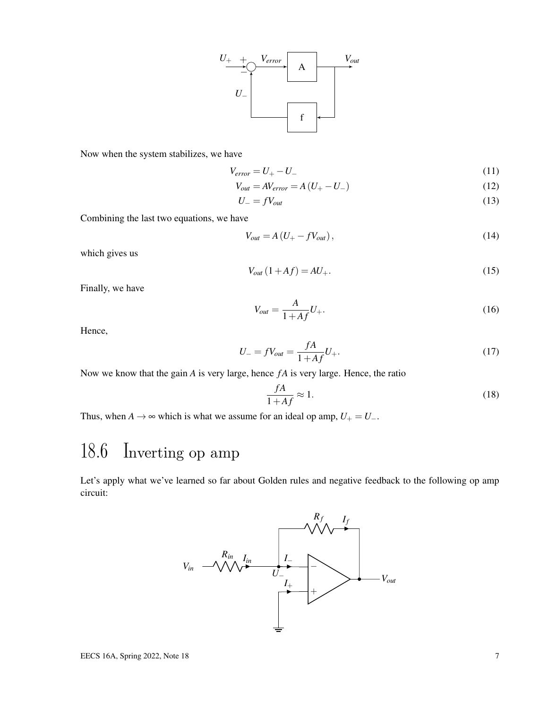

Now when the system stabilizes, we have

$$
V_{error} = U_{+} - U_{-}
$$
\n<sup>(11)</sup>

$$
V_{out} = AV_{error} = A\left(U_{+} - U_{-}\right) \tag{12}
$$

$$
U_{-} = fV_{out} \tag{13}
$$

Combining the last two equations, we have

$$
V_{out} = A \left( U_{+} - f V_{out} \right), \tag{14}
$$

which gives us

$$
V_{out}(1+Af) = AU_{+}.\tag{15}
$$

Finally, we have

$$
V_{out} = \frac{A}{1 + Af} U_{+}.
$$
 (16)

Hence,

$$
U_{-} = fV_{out} = \frac{fA}{1 + Af}U_{+}.
$$
\n(17)

Now we know that the gain *A* is very large, hence *f A* is very large. Hence, the ratio

$$
\frac{fA}{1+Af} \approx 1.\tag{18}
$$

Thus, when *A* → ∞ which is what we assume for an ideal op amp,  $U_+ = U_-$ .

## 18.6 Inverting op amp

Let's apply what we've learned so far about Golden rules and negative feedback to the following op amp circuit:

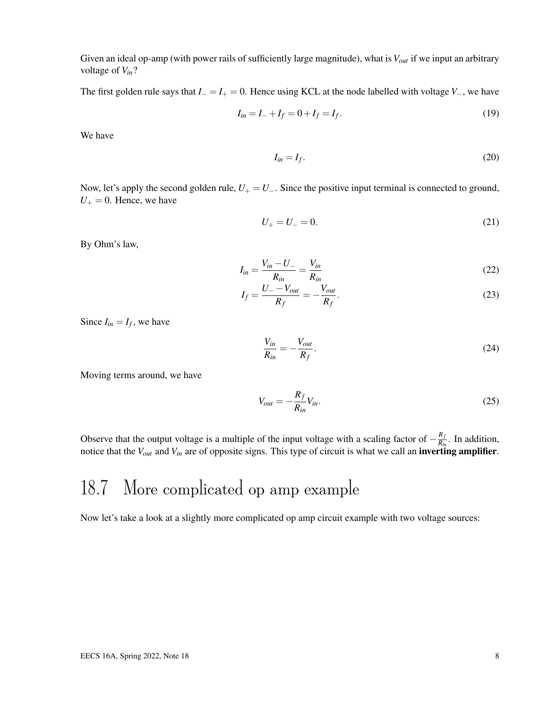Given an ideal op-amp (with power rails of sufficiently large magnitude), what is *Vout* if we input an arbitrary voltage of *Vin*?

The first golden rule says that  $I_-=I_+=0$ . Hence using KCL at the node labelled with voltage  $V_-,$  we have

$$
I_{in} = I_- + I_f = 0 + I_f = I_f.
$$
\n(19)

We have

$$
I_{in} = I_f. \tag{20}
$$

Now, let's apply the second golden rule,  $U_+ = U_-$ . Since the positive input terminal is connected to ground,  $U_+ = 0$ . Hence, we have

$$
U_{+} = U_{-} = 0. \tag{21}
$$

By Ohm's law,

$$
I_{in} = \frac{V_{in} - U_{-}}{R_{in}} = \frac{V_{in}}{R_{in}}
$$
\n
$$
(22)
$$

$$
I_f = \frac{U_- - V_{out}}{R_f} = -\frac{V_{out}}{R_f}.
$$
\n(23)

Since  $I_{in} = I_f$ , we have

$$
\frac{V_{in}}{R_{in}} = -\frac{V_{out}}{R_f}.\tag{24}
$$

Moving terms around, we have

$$
V_{out} = -\frac{R_f}{R_{in}} V_{in}.
$$
\n(25)

Observe that the output voltage is a multiple of the input voltage with a scaling factor of  $-\frac{R_f}{R_f}$  $\frac{R_f}{R_{in}}$ . In addition, notice that the *Vout* and *Vin* are of opposite signs. This type of circuit is what we call an inverting amplifier.

### 18.7 More complicated op amp example

Now let's take a look at a slightly more complicated op amp circuit example with two voltage sources: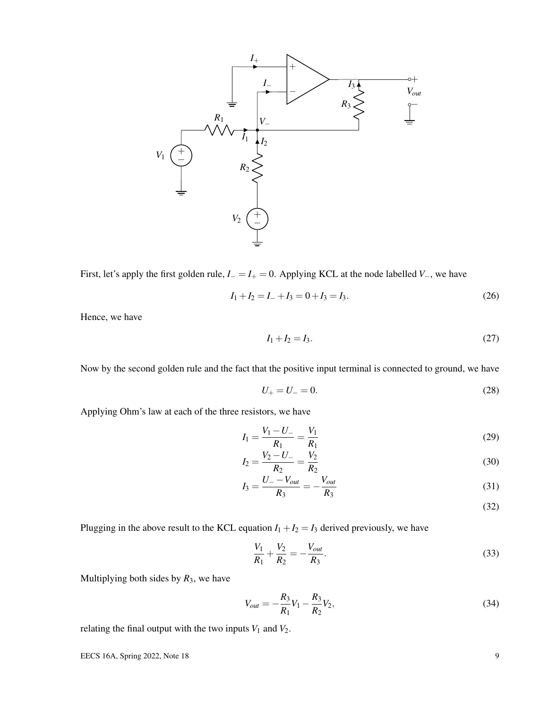

First, let's apply the first golden rule, *I*<sup>−</sup> = *I*<sup>+</sup> = 0. Applying KCL at the node labelled *V*−, we have

$$
I_1 + I_2 = I_- + I_3 = 0 + I_3 = I_3. \tag{26}
$$

Hence, we have

$$
I_1 + I_2 = I_3. \t\t(27)
$$

Now by the second golden rule and the fact that the positive input terminal is connected to ground, we have

$$
U_{+} = U_{-} = 0. \tag{28}
$$

Applying Ohm's law at each of the three resistors, we have

$$
I_1 = \frac{V_1 - U_-}{R_1} = \frac{V_1}{R_1} \tag{29}
$$

$$
I_2 = \frac{V_2 - U_-}{R_2} = \frac{V_2}{R_2} \tag{30}
$$

$$
I_3 = \frac{U_- - V_{out}}{R_3} = -\frac{V_{out}}{R_3}
$$
 (31)

(32)

Plugging in the above result to the KCL equation  $I_1 + I_2 = I_3$  derived previously, we have

$$
\frac{V_1}{R_1} + \frac{V_2}{R_2} = -\frac{V_{out}}{R_3}.
$$
\n(33)

Multiplying both sides by  $R_3$ , we have

$$
V_{out} = -\frac{R_3}{R_1}V_1 - \frac{R_3}{R_2}V_2, \tag{34}
$$

relating the final output with the two inputs  $V_1$  and  $V_2$ .

EECS 16A, Spring 2022, Note 18 9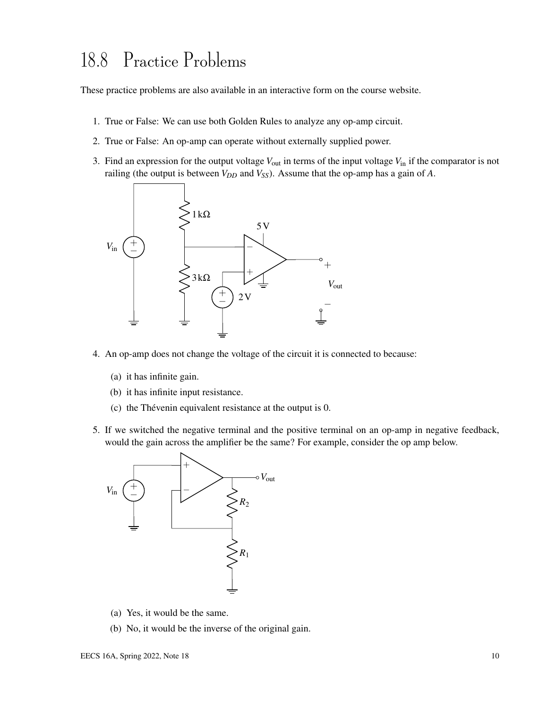## 18.8 Practice Problems

These practice problems are also available in an interactive form on the course website.

- 1. True or False: We can use both Golden Rules to analyze any op-amp circuit.
- 2. True or False: An op-amp can operate without externally supplied power.
- 3. Find an expression for the output voltage  $V_{\text{out}}$  in terms of the input voltage  $V_{\text{in}}$  if the comparator is not railing (the output is between *V<sub>DD</sub>* and *V<sub>SS</sub>*). Assume that the op-amp has a gain of *A*.



- 4. An op-amp does not change the voltage of the circuit it is connected to because:
	- (a) it has infinite gain.
	- (b) it has infinite input resistance.
	- (c) the Thévenin equivalent resistance at the output is 0.
- 5. If we switched the negative terminal and the positive terminal on an op-amp in negative feedback, would the gain across the amplifier be the same? For example, consider the op amp below.



- (a) Yes, it would be the same.
- (b) No, it would be the inverse of the original gain.